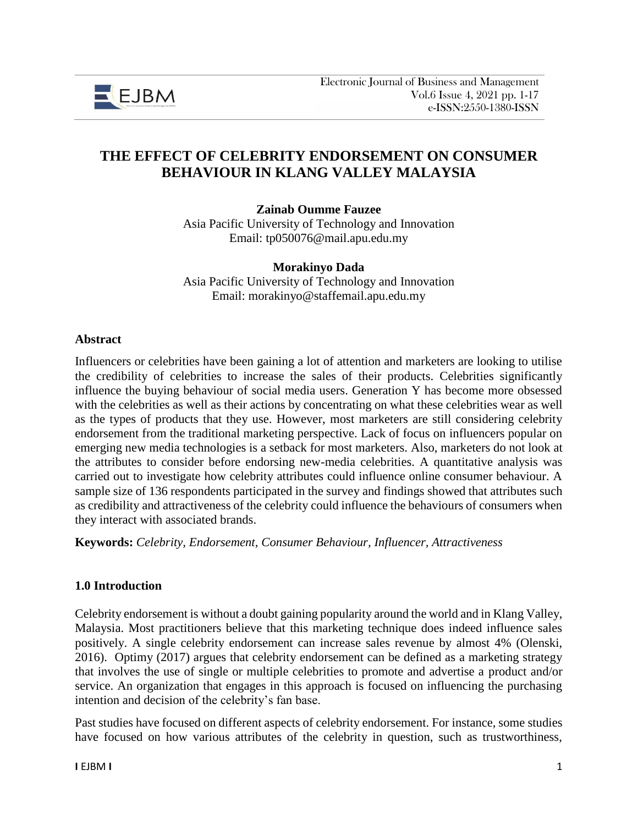

# **THE EFFECT OF CELEBRITY ENDORSEMENT ON CONSUMER BEHAVIOUR IN KLANG VALLEY MALAYSIA**

**Zainab Oumme Fauzee**

Asia Pacific University of Technology and Innovation Email: tp050076@mail.apu.edu.my

#### **Morakinyo Dada**

Asia Pacific University of Technology and Innovation Email: morakinyo@staffemail.apu.edu.my

#### **Abstract**

Influencers or celebrities have been gaining a lot of attention and marketers are looking to utilise the credibility of celebrities to increase the sales of their products. Celebrities significantly influence the buying behaviour of social media users. Generation Y has become more obsessed with the celebrities as well as their actions by concentrating on what these celebrities wear as well as the types of products that they use. However, most marketers are still considering celebrity endorsement from the traditional marketing perspective. Lack of focus on influencers popular on emerging new media technologies is a setback for most marketers. Also, marketers do not look at the attributes to consider before endorsing new-media celebrities. A quantitative analysis was carried out to investigate how celebrity attributes could influence online consumer behaviour. A sample size of 136 respondents participated in the survey and findings showed that attributes such as credibility and attractiveness of the celebrity could influence the behaviours of consumers when they interact with associated brands.

**Keywords:** *Celebrity, Endorsement, Consumer Behaviour, Influencer, Attractiveness*

#### **1.0 Introduction**

Celebrity endorsement is without a doubt gaining popularity around the world and in Klang Valley, Malaysia. Most practitioners believe that this marketing technique does indeed influence sales positively. A single celebrity endorsement can increase sales revenue by almost 4% (Olenski, 2016). Optimy (2017) argues that celebrity endorsement can be defined as a marketing strategy that involves the use of single or multiple celebrities to promote and advertise a product and/or service. An organization that engages in this approach is focused on influencing the purchasing intention and decision of the celebrity's fan base.

Past studies have focused on different aspects of celebrity endorsement. For instance, some studies have focused on how various attributes of the celebrity in question, such as trustworthiness,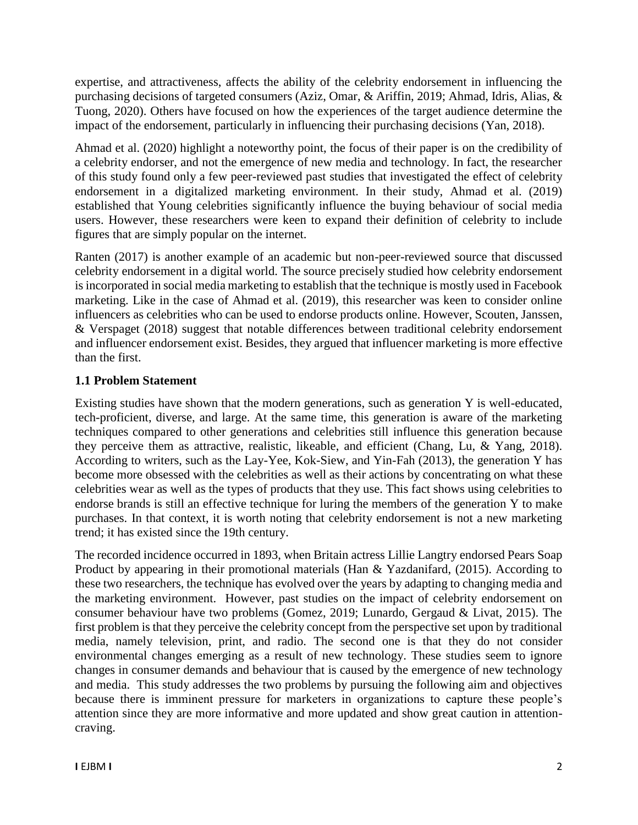expertise, and attractiveness, affects the ability of the celebrity endorsement in influencing the purchasing decisions of targeted consumers (Aziz, Omar, & Ariffin, 2019; Ahmad, Idris, Alias, & Tuong, 2020). Others have focused on how the experiences of the target audience determine the impact of the endorsement, particularly in influencing their purchasing decisions (Yan, 2018).

Ahmad et al. (2020) highlight a noteworthy point, the focus of their paper is on the credibility of a celebrity endorser, and not the emergence of new media and technology. In fact, the researcher of this study found only a few peer-reviewed past studies that investigated the effect of celebrity endorsement in a digitalized marketing environment. In their study, Ahmad et al. (2019) established that Young celebrities significantly influence the buying behaviour of social media users. However, these researchers were keen to expand their definition of celebrity to include figures that are simply popular on the internet.

Ranten (2017) is another example of an academic but non-peer-reviewed source that discussed celebrity endorsement in a digital world. The source precisely studied how celebrity endorsement is incorporated in social media marketing to establish that the technique is mostly used in Facebook marketing. Like in the case of Ahmad et al. (2019), this researcher was keen to consider online influencers as celebrities who can be used to endorse products online. However, Scouten, Janssen, & Verspaget (2018) suggest that notable differences between traditional celebrity endorsement and influencer endorsement exist. Besides, they argued that influencer marketing is more effective than the first.

# **1.1 Problem Statement**

Existing studies have shown that the modern generations, such as generation Y is well-educated, tech-proficient, diverse, and large. At the same time, this generation is aware of the marketing techniques compared to other generations and celebrities still influence this generation because they perceive them as attractive, realistic, likeable, and efficient (Chang, Lu, & Yang, 2018). According to writers, such as the Lay-Yee, Kok-Siew, and Yin-Fah (2013), the generation Y has become more obsessed with the celebrities as well as their actions by concentrating on what these celebrities wear as well as the types of products that they use. This fact shows using celebrities to endorse brands is still an effective technique for luring the members of the generation Y to make purchases. In that context, it is worth noting that celebrity endorsement is not a new marketing trend; it has existed since the 19th century.

The recorded incidence occurred in 1893, when Britain actress Lillie Langtry endorsed Pears Soap Product by appearing in their promotional materials (Han & Yazdanifard, (2015). According to these two researchers, the technique has evolved over the years by adapting to changing media and the marketing environment. However, past studies on the impact of celebrity endorsement on consumer behaviour have two problems (Gomez, 2019; Lunardo, Gergaud & Livat, 2015). The first problem is that they perceive the celebrity concept from the perspective set upon by traditional media, namely television, print, and radio. The second one is that they do not consider environmental changes emerging as a result of new technology. These studies seem to ignore changes in consumer demands and behaviour that is caused by the emergence of new technology and media. This study addresses the two problems by pursuing the following aim and objectives because there is imminent pressure for marketers in organizations to capture these people's attention since they are more informative and more updated and show great caution in attentioncraving.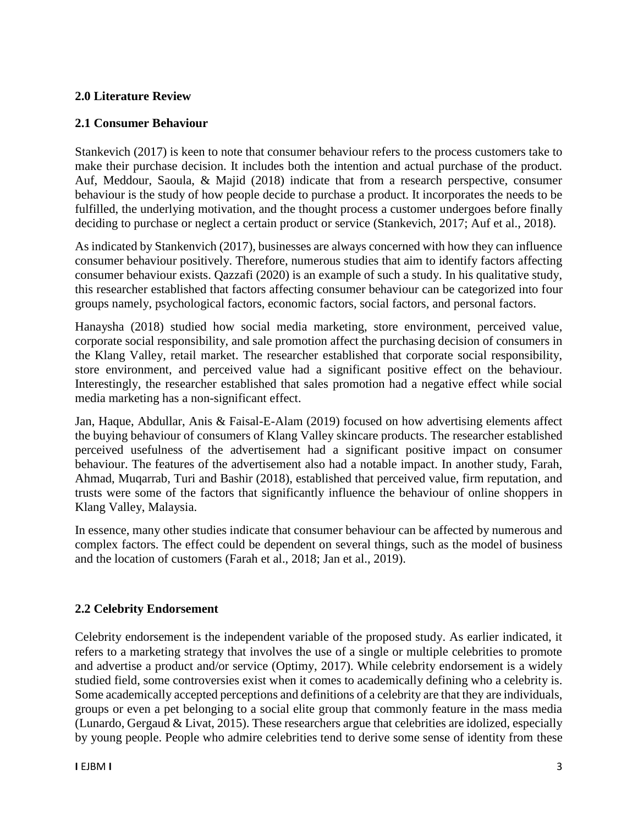### **2.0 Literature Review**

### **2.1 Consumer Behaviour**

Stankevich (2017) is keen to note that consumer behaviour refers to the process customers take to make their purchase decision. It includes both the intention and actual purchase of the product. Auf, Meddour, Saoula, & Majid (2018) indicate that from a research perspective, consumer behaviour is the study of how people decide to purchase a product. It incorporates the needs to be fulfilled, the underlying motivation, and the thought process a customer undergoes before finally deciding to purchase or neglect a certain product or service (Stankevich, 2017; Auf et al., 2018).

As indicated by Stankenvich (2017), businesses are always concerned with how they can influence consumer behaviour positively. Therefore, numerous studies that aim to identify factors affecting consumer behaviour exists. Qazzafi (2020) is an example of such a study. In his qualitative study, this researcher established that factors affecting consumer behaviour can be categorized into four groups namely, psychological factors, economic factors, social factors, and personal factors.

Hanaysha (2018) studied how social media marketing, store environment, perceived value, corporate social responsibility, and sale promotion affect the purchasing decision of consumers in the Klang Valley, retail market. The researcher established that corporate social responsibility, store environment, and perceived value had a significant positive effect on the behaviour. Interestingly, the researcher established that sales promotion had a negative effect while social media marketing has a non-significant effect.

Jan, Haque, Abdullar, Anis & Faisal-E-Alam (2019) focused on how advertising elements affect the buying behaviour of consumers of Klang Valley skincare products. The researcher established perceived usefulness of the advertisement had a significant positive impact on consumer behaviour. The features of the advertisement also had a notable impact. In another study, Farah, Ahmad, Muqarrab, Turi and Bashir (2018), established that perceived value, firm reputation, and trusts were some of the factors that significantly influence the behaviour of online shoppers in Klang Valley, Malaysia.

In essence, many other studies indicate that consumer behaviour can be affected by numerous and complex factors. The effect could be dependent on several things, such as the model of business and the location of customers (Farah et al., 2018; Jan et al., 2019).

### **2.2 Celebrity Endorsement**

Celebrity endorsement is the independent variable of the proposed study. As earlier indicated, it refers to a marketing strategy that involves the use of a single or multiple celebrities to promote and advertise a product and/or service (Optimy, 2017). While celebrity endorsement is a widely studied field, some controversies exist when it comes to academically defining who a celebrity is. Some academically accepted perceptions and definitions of a celebrity are that they are individuals, groups or even a pet belonging to a social elite group that commonly feature in the mass media (Lunardo, Gergaud & Livat, 2015). These researchers argue that celebrities are idolized, especially by young people. People who admire celebrities tend to derive some sense of identity from these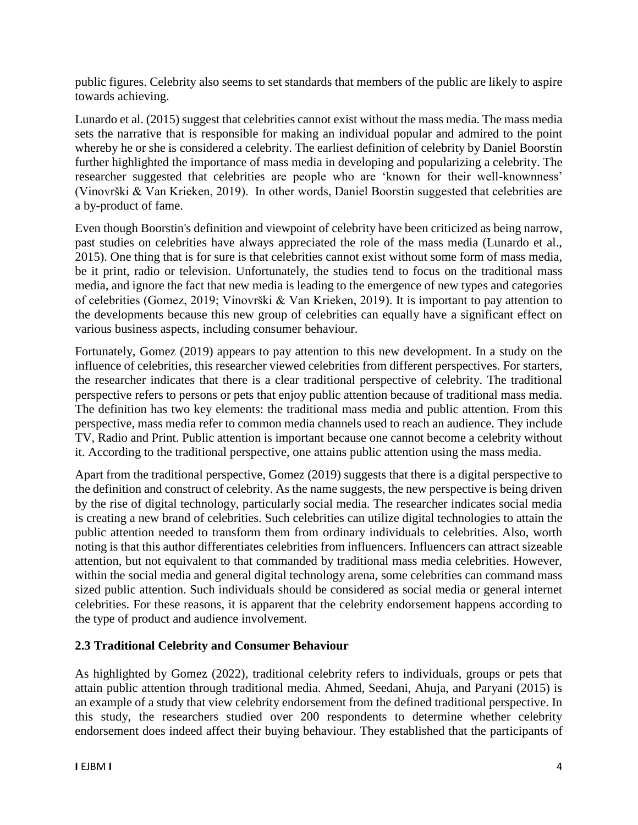public figures. Celebrity also seems to set standards that members of the public are likely to aspire towards achieving.

Lunardo et al. (2015) suggest that celebrities cannot exist without the mass media. The mass media sets the narrative that is responsible for making an individual popular and admired to the point whereby he or she is considered a celebrity. The earliest definition of celebrity by Daniel Boorstin further highlighted the importance of mass media in developing and popularizing a celebrity. The researcher suggested that celebrities are people who are 'known for their well-knownness' (Vinovrški & Van Krieken, 2019). In other words, Daniel Boorstin suggested that celebrities are a by-product of fame.

Even though Boorstin's definition and viewpoint of celebrity have been criticized as being narrow, past studies on celebrities have always appreciated the role of the mass media (Lunardo et al., 2015). One thing that is for sure is that celebrities cannot exist without some form of mass media, be it print, radio or television. Unfortunately, the studies tend to focus on the traditional mass media, and ignore the fact that new media is leading to the emergence of new types and categories of celebrities (Gomez, 2019; Vinovrški & Van Krieken, 2019). It is important to pay attention to the developments because this new group of celebrities can equally have a significant effect on various business aspects, including consumer behaviour.

Fortunately, Gomez (2019) appears to pay attention to this new development. In a study on the influence of celebrities, this researcher viewed celebrities from different perspectives. For starters, the researcher indicates that there is a clear traditional perspective of celebrity. The traditional perspective refers to persons or pets that enjoy public attention because of traditional mass media. The definition has two key elements: the traditional mass media and public attention. From this perspective, mass media refer to common media channels used to reach an audience. They include TV, Radio and Print. Public attention is important because one cannot become a celebrity without it. According to the traditional perspective, one attains public attention using the mass media.

Apart from the traditional perspective, Gomez (2019) suggests that there is a digital perspective to the definition and construct of celebrity. As the name suggests, the new perspective is being driven by the rise of digital technology, particularly social media. The researcher indicates social media is creating a new brand of celebrities. Such celebrities can utilize digital technologies to attain the public attention needed to transform them from ordinary individuals to celebrities. Also, worth noting is that this author differentiates celebrities from influencers. Influencers can attract sizeable attention, but not equivalent to that commanded by traditional mass media celebrities. However, within the social media and general digital technology arena, some celebrities can command mass sized public attention. Such individuals should be considered as social media or general internet celebrities. For these reasons, it is apparent that the celebrity endorsement happens according to the type of product and audience involvement.

### **2.3 Traditional Celebrity and Consumer Behaviour**

As highlighted by Gomez (2022), traditional celebrity refers to individuals, groups or pets that attain public attention through traditional media. Ahmed, Seedani, Ahuja, and Paryani (2015) is an example of a study that view celebrity endorsement from the defined traditional perspective. In this study, the researchers studied over 200 respondents to determine whether celebrity endorsement does indeed affect their buying behaviour. They established that the participants of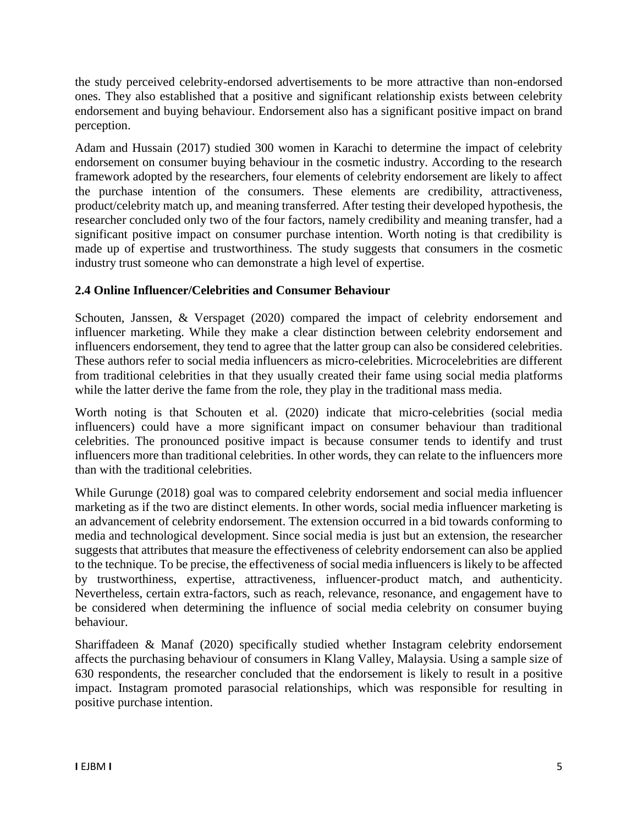the study perceived celebrity-endorsed advertisements to be more attractive than non-endorsed ones. They also established that a positive and significant relationship exists between celebrity endorsement and buying behaviour. Endorsement also has a significant positive impact on brand perception.

Adam and Hussain (2017) studied 300 women in Karachi to determine the impact of celebrity endorsement on consumer buying behaviour in the cosmetic industry. According to the research framework adopted by the researchers, four elements of celebrity endorsement are likely to affect the purchase intention of the consumers. These elements are credibility, attractiveness, product/celebrity match up, and meaning transferred. After testing their developed hypothesis, the researcher concluded only two of the four factors, namely credibility and meaning transfer, had a significant positive impact on consumer purchase intention. Worth noting is that credibility is made up of expertise and trustworthiness. The study suggests that consumers in the cosmetic industry trust someone who can demonstrate a high level of expertise.

# **2.4 Online Influencer/Celebrities and Consumer Behaviour**

Schouten, Janssen, & Verspaget (2020) compared the impact of celebrity endorsement and influencer marketing. While they make a clear distinction between celebrity endorsement and influencers endorsement, they tend to agree that the latter group can also be considered celebrities. These authors refer to social media influencers as micro-celebrities. Microcelebrities are different from traditional celebrities in that they usually created their fame using social media platforms while the latter derive the fame from the role, they play in the traditional mass media.

Worth noting is that Schouten et al. (2020) indicate that micro-celebrities (social media influencers) could have a more significant impact on consumer behaviour than traditional celebrities. The pronounced positive impact is because consumer tends to identify and trust influencers more than traditional celebrities. In other words, they can relate to the influencers more than with the traditional celebrities.

While Gurunge (2018) goal was to compared celebrity endorsement and social media influencer marketing as if the two are distinct elements. In other words, social media influencer marketing is an advancement of celebrity endorsement. The extension occurred in a bid towards conforming to media and technological development. Since social media is just but an extension, the researcher suggests that attributes that measure the effectiveness of celebrity endorsement can also be applied to the technique. To be precise, the effectiveness of social media influencers is likely to be affected by trustworthiness, expertise, attractiveness, influencer-product match, and authenticity. Nevertheless, certain extra-factors, such as reach, relevance, resonance, and engagement have to be considered when determining the influence of social media celebrity on consumer buying behaviour.

Shariffadeen & Manaf (2020) specifically studied whether Instagram celebrity endorsement affects the purchasing behaviour of consumers in Klang Valley, Malaysia. Using a sample size of 630 respondents, the researcher concluded that the endorsement is likely to result in a positive impact. Instagram promoted parasocial relationships, which was responsible for resulting in positive purchase intention.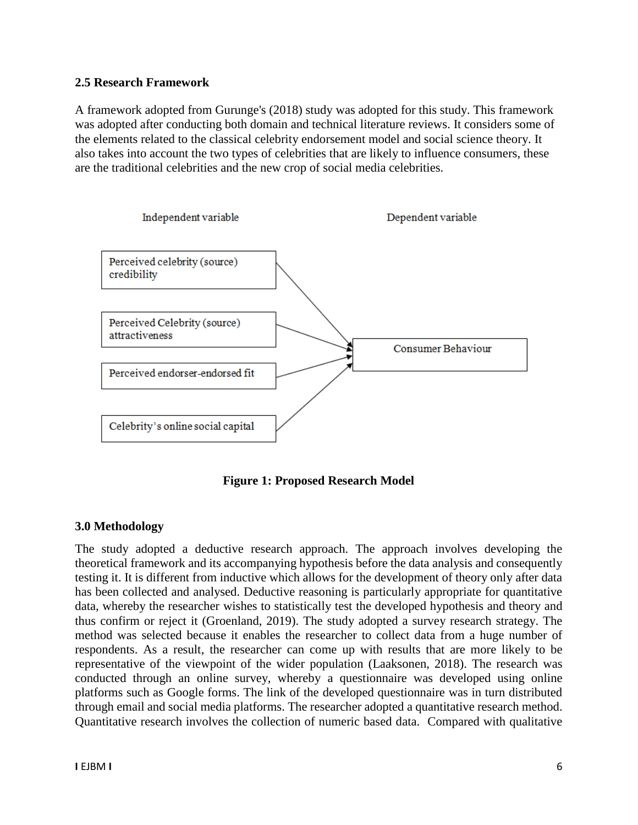#### **2.5 Research Framework**

A framework adopted from Gurunge's (2018) study was adopted for this study. This framework was adopted after conducting both domain and technical literature reviews. It considers some of the elements related to the classical celebrity endorsement model and social science theory. It also takes into account the two types of celebrities that are likely to influence consumers, these are the traditional celebrities and the new crop of social media celebrities.



**Figure 1: Proposed Research Model**

### **3.0 Methodology**

The study adopted a deductive research approach. The approach involves developing the theoretical framework and its accompanying hypothesis before the data analysis and consequently testing it. It is different from inductive which allows for the development of theory only after data has been collected and analysed. Deductive reasoning is particularly appropriate for quantitative data, whereby the researcher wishes to statistically test the developed hypothesis and theory and thus confirm or reject it (Groenland, 2019). The study adopted a survey research strategy. The method was selected because it enables the researcher to collect data from a huge number of respondents. As a result, the researcher can come up with results that are more likely to be representative of the viewpoint of the wider population (Laaksonen, 2018). The research was conducted through an online survey, whereby a questionnaire was developed using online platforms such as Google forms. The link of the developed questionnaire was in turn distributed through email and social media platforms. The researcher adopted a quantitative research method. Quantitative research involves the collection of numeric based data. Compared with qualitative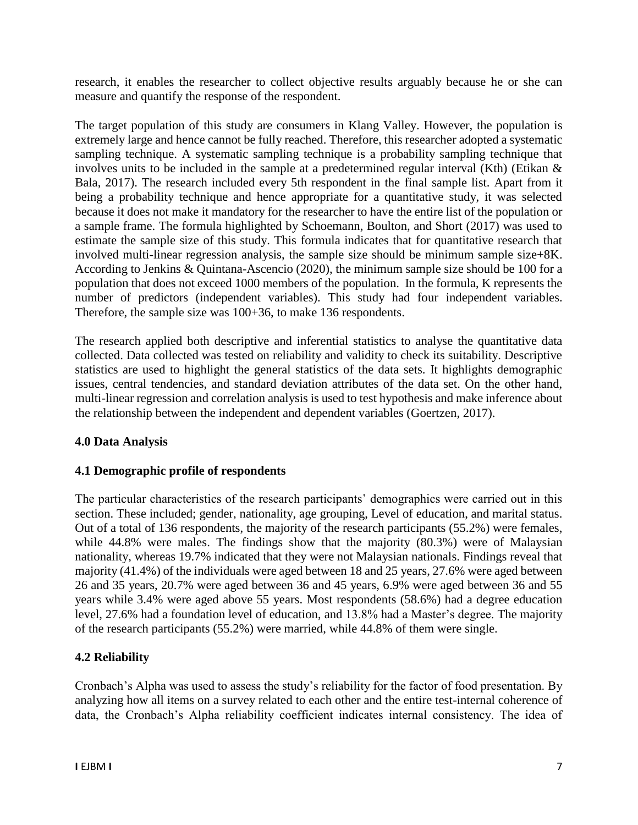research, it enables the researcher to collect objective results arguably because he or she can measure and quantify the response of the respondent.

The target population of this study are consumers in Klang Valley. However, the population is extremely large and hence cannot be fully reached. Therefore, this researcher adopted a systematic sampling technique. A systematic sampling technique is a probability sampling technique that involves units to be included in the sample at a predetermined regular interval (Kth) (Etikan & Bala, 2017). The research included every 5th respondent in the final sample list. Apart from it being a probability technique and hence appropriate for a quantitative study, it was selected because it does not make it mandatory for the researcher to have the entire list of the population or a sample frame. The formula highlighted by Schoemann, Boulton, and Short (2017) was used to estimate the sample size of this study. This formula indicates that for quantitative research that involved multi-linear regression analysis, the sample size should be minimum sample size+8K. According to Jenkins & Quintana-Ascencio (2020), the minimum sample size should be 100 for a population that does not exceed 1000 members of the population. In the formula, K represents the number of predictors (independent variables). This study had four independent variables. Therefore, the sample size was 100+36, to make 136 respondents.

The research applied both descriptive and inferential statistics to analyse the quantitative data collected. Data collected was tested on reliability and validity to check its suitability. Descriptive statistics are used to highlight the general statistics of the data sets. It highlights demographic issues, central tendencies, and standard deviation attributes of the data set. On the other hand, multi-linear regression and correlation analysis is used to test hypothesis and make inference about the relationship between the independent and dependent variables (Goertzen, 2017).

# **4.0 Data Analysis**

### **4.1 Demographic profile of respondents**

The particular characteristics of the research participants' demographics were carried out in this section. These included; gender, nationality, age grouping, Level of education, and marital status. Out of a total of 136 respondents, the majority of the research participants (55.2%) were females, while 44.8% were males. The findings show that the majority (80.3%) were of Malaysian nationality, whereas 19.7% indicated that they were not Malaysian nationals. Findings reveal that majority (41.4%) of the individuals were aged between 18 and 25 years, 27.6% were aged between 26 and 35 years, 20.7% were aged between 36 and 45 years, 6.9% were aged between 36 and 55 years while 3.4% were aged above 55 years. Most respondents (58.6%) had a degree education level, 27.6% had a foundation level of education, and 13.8% had a Master's degree. The majority of the research participants (55.2%) were married, while 44.8% of them were single.

# **4.2 Reliability**

Cronbach's Alpha was used to assess the study's reliability for the factor of food presentation. By analyzing how all items on a survey related to each other and the entire test-internal coherence of data, the Cronbach's Alpha reliability coefficient indicates internal consistency. The idea of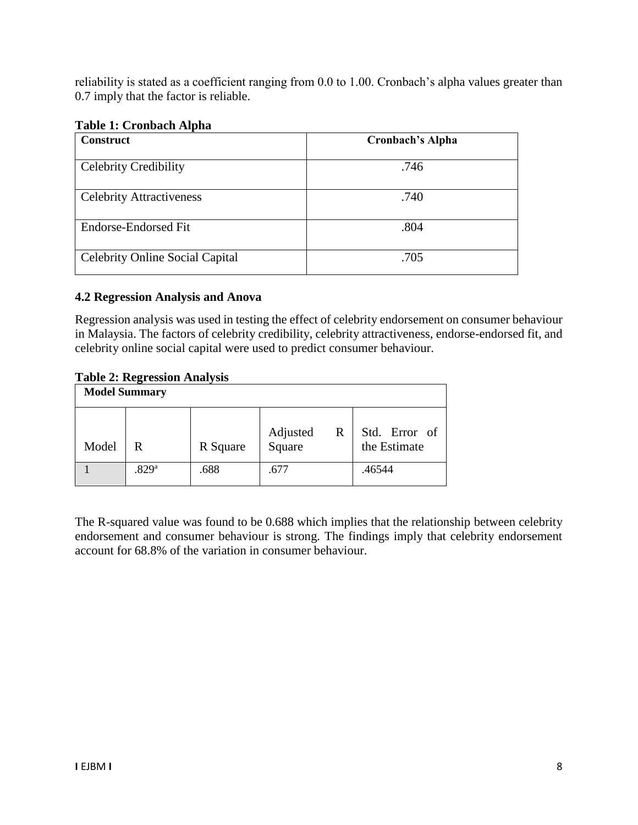reliability is stated as a coefficient ranging from 0.0 to 1.00. Cronbach's alpha values greater than 0.7 imply that the factor is reliable.

| <b>Construct</b>                       | <b>Cronbach's Alpha</b> |
|----------------------------------------|-------------------------|
| <b>Celebrity Credibility</b>           | .746                    |
| <b>Celebrity Attractiveness</b>        | .740                    |
| Endorse-Endorsed Fit                   | .804                    |
| <b>Celebrity Online Social Capital</b> | .705                    |

### **4.2 Regression Analysis and Anova**

Regression analysis was used in testing the effect of celebrity endorsement on consumer behaviour in Malaysia. The factors of celebrity credibility, celebrity attractiveness, endorse-endorsed fit, and celebrity online social capital were used to predict consumer behaviour.

#### **Table 2: Regression Analysis**

| <b>Model Summary</b> |       |          |                         |                               |  |
|----------------------|-------|----------|-------------------------|-------------------------------|--|
| Model                | R     | R Square | Adjusted<br>Square<br>R | Std. Error of<br>the Estimate |  |
|                      | .829a | .688     | .677                    | .46544                        |  |

The R-squared value was found to be 0.688 which implies that the relationship between celebrity endorsement and consumer behaviour is strong. The findings imply that celebrity endorsement account for 68.8% of the variation in consumer behaviour.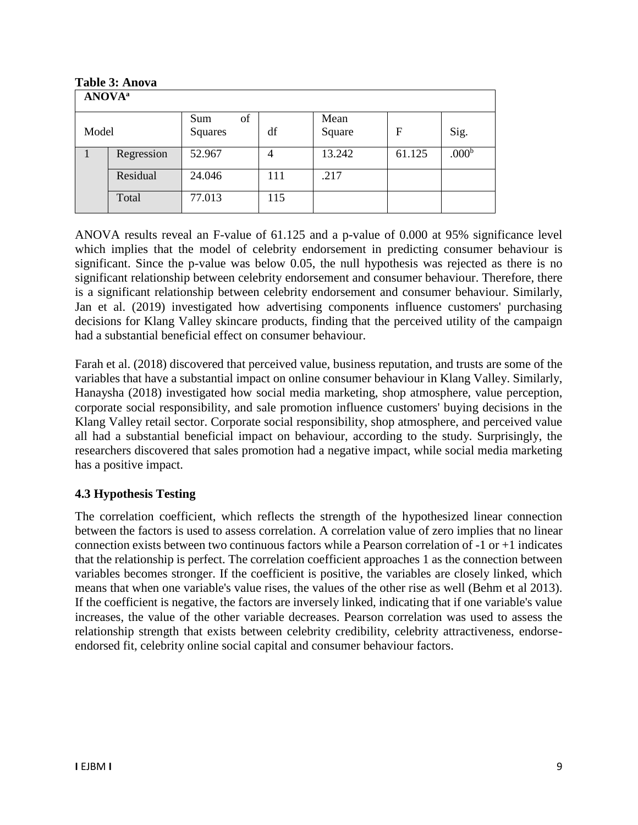| Table 3: Anova            |            |           |     |        |        |                   |
|---------------------------|------------|-----------|-----|--------|--------|-------------------|
| <b>ANOVA</b> <sup>a</sup> |            |           |     |        |        |                   |
|                           |            | of<br>Sum |     | Mean   |        |                   |
| Model                     |            | Squares   | df  | Square | F      | Sig.              |
|                           | Regression | 52.967    | 4   | 13.242 | 61.125 | .000 <sup>b</sup> |
|                           | Residual   | 24.046    | 111 | .217   |        |                   |
|                           | Total      | 77.013    | 115 |        |        |                   |

**Table 3: Anova**

ANOVA results reveal an F-value of 61.125 and a p-value of 0.000 at 95% significance level which implies that the model of celebrity endorsement in predicting consumer behaviour is significant. Since the p-value was below 0.05, the null hypothesis was rejected as there is no significant relationship between celebrity endorsement and consumer behaviour. Therefore, there is a significant relationship between celebrity endorsement and consumer behaviour. Similarly, Jan et al. (2019) investigated how advertising components influence customers' purchasing decisions for Klang Valley skincare products, finding that the perceived utility of the campaign had a substantial beneficial effect on consumer behaviour.

Farah et al. (2018) discovered that perceived value, business reputation, and trusts are some of the variables that have a substantial impact on online consumer behaviour in Klang Valley. Similarly, Hanaysha (2018) investigated how social media marketing, shop atmosphere, value perception, corporate social responsibility, and sale promotion influence customers' buying decisions in the Klang Valley retail sector. Corporate social responsibility, shop atmosphere, and perceived value all had a substantial beneficial impact on behaviour, according to the study. Surprisingly, the researchers discovered that sales promotion had a negative impact, while social media marketing has a positive impact.

### **4.3 Hypothesis Testing**

The correlation coefficient, which reflects the strength of the hypothesized linear connection between the factors is used to assess correlation. A correlation value of zero implies that no linear connection exists between two continuous factors while a Pearson correlation of -1 or +1 indicates that the relationship is perfect. The correlation coefficient approaches 1 as the connection between variables becomes stronger. If the coefficient is positive, the variables are closely linked, which means that when one variable's value rises, the values of the other rise as well (Behm et al 2013). If the coefficient is negative, the factors are inversely linked, indicating that if one variable's value increases, the value of the other variable decreases. Pearson correlation was used to assess the relationship strength that exists between celebrity credibility, celebrity attractiveness, endorseendorsed fit, celebrity online social capital and consumer behaviour factors.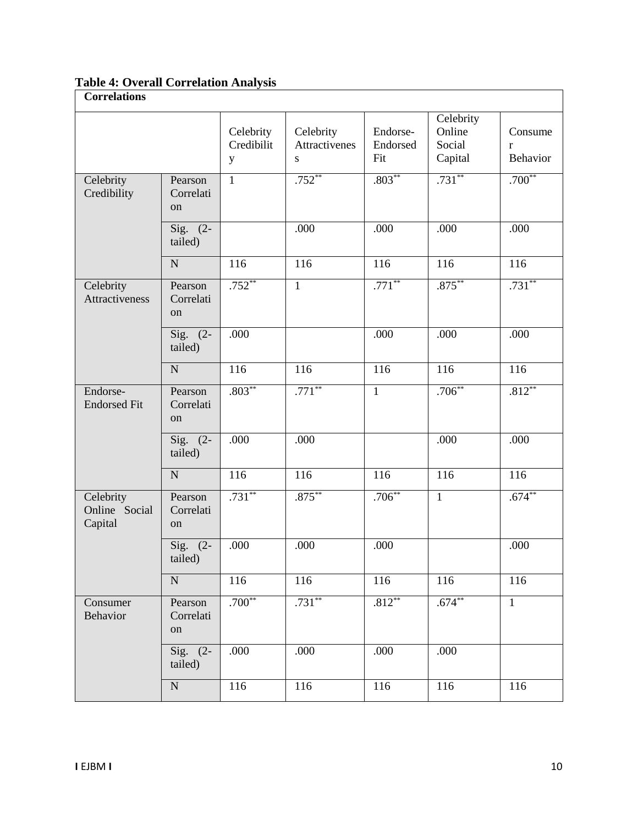**Table 4: Overall Correlation Analysis**

| <b>Correlations</b>                   |                            |                              |                                         |                             |                                          |                                            |
|---------------------------------------|----------------------------|------------------------------|-----------------------------------------|-----------------------------|------------------------------------------|--------------------------------------------|
|                                       |                            | Celebrity<br>Credibilit<br>y | Celebrity<br>Attractivenes<br>${\bf S}$ | Endorse-<br>Endorsed<br>Fit | Celebrity<br>Online<br>Social<br>Capital | Consume<br>$\mathbf{r}$<br><b>Behavior</b> |
| Celebrity<br>Credibility              | Pearson<br>Correlati<br>on | $\overline{1}$               | $.752**$                                | $.803**$                    | $.731***$                                | $.700**$                                   |
|                                       | Sig. $(2-$<br>tailed)      |                              | .000                                    | .000                        | .000                                     | .000                                       |
|                                       | ${\bf N}$                  | 116                          | 116                                     | 116                         | 116                                      | 116                                        |
| Celebrity<br>Attractiveness           | Pearson<br>Correlati<br>on | $.752**$                     | $\overline{1}$                          | $.771**$                    | $.875***$                                | $.731***$                                  |
|                                       | Sig. $(2-$<br>tailed)      | .000                         |                                         | .000                        | .000                                     | .000                                       |
|                                       | ${\bf N}$                  | 116                          | 116                                     | 116                         | 116                                      | 116                                        |
| Endorse-<br><b>Endorsed Fit</b>       | Pearson<br>Correlati<br>on | $.803**$                     | $.771***$                               | $\mathbf{1}$                | $.706***$                                | $.812***$                                  |
|                                       | Sig. $(2-$<br>tailed)      | .000                         | .000                                    |                             | .000                                     | .000                                       |
|                                       | ${\bf N}$                  | 116                          | 116                                     | 116                         | 116                                      | 116                                        |
| Celebrity<br>Online Social<br>Capital | Pearson<br>Correlati<br>on | $.731**$                     | $.875***$                               | $.706***$                   | $\mathbf{1}$                             | $.674**$                                   |
|                                       | Sig. (2-<br>tailed)        | .000                         | .000                                    | .000                        |                                          | .000                                       |
|                                       | ${\bf N}$                  | 116                          | 116                                     | 116                         | 116                                      | 116                                        |
| Consumer<br>Behavior                  | Pearson<br>Correlati<br>on | $.700**$                     | $.731***$                               | $.812**$                    | $.674**$                                 | $\mathbf{1}$                               |
|                                       | Sig. $(2-$<br>tailed)      | .000                         | .000                                    | .000                        | .000                                     |                                            |
|                                       | ${\bf N}$                  | 116                          | 116                                     | 116                         | 116                                      | 116                                        |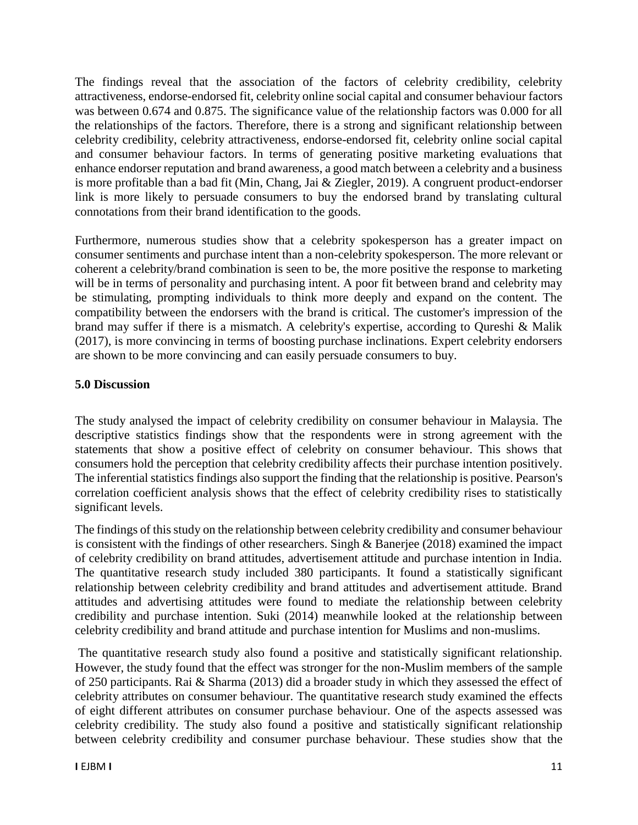The findings reveal that the association of the factors of celebrity credibility, celebrity attractiveness, endorse-endorsed fit, celebrity online social capital and consumer behaviour factors was between 0.674 and 0.875. The significance value of the relationship factors was 0.000 for all the relationships of the factors. Therefore, there is a strong and significant relationship between celebrity credibility, celebrity attractiveness, endorse-endorsed fit, celebrity online social capital and consumer behaviour factors. In terms of generating positive marketing evaluations that enhance endorser reputation and brand awareness, a good match between a celebrity and a business is more profitable than a bad fit (Min, Chang, Jai & Ziegler, 2019). A congruent product-endorser link is more likely to persuade consumers to buy the endorsed brand by translating cultural connotations from their brand identification to the goods.

Furthermore, numerous studies show that a celebrity spokesperson has a greater impact on consumer sentiments and purchase intent than a non-celebrity spokesperson. The more relevant or coherent a celebrity/brand combination is seen to be, the more positive the response to marketing will be in terms of personality and purchasing intent. A poor fit between brand and celebrity may be stimulating, prompting individuals to think more deeply and expand on the content. The compatibility between the endorsers with the brand is critical. The customer's impression of the brand may suffer if there is a mismatch. A celebrity's expertise, according to Qureshi & Malik (2017), is more convincing in terms of boosting purchase inclinations. Expert celebrity endorsers are shown to be more convincing and can easily persuade consumers to buy.

### **5.0 Discussion**

The study analysed the impact of celebrity credibility on consumer behaviour in Malaysia. The descriptive statistics findings show that the respondents were in strong agreement with the statements that show a positive effect of celebrity on consumer behaviour. This shows that consumers hold the perception that celebrity credibility affects their purchase intention positively. The inferential statistics findings also support the finding that the relationship is positive. Pearson's correlation coefficient analysis shows that the effect of celebrity credibility rises to statistically significant levels.

The findings of this study on the relationship between celebrity credibility and consumer behaviour is consistent with the findings of other researchers. Singh & Banerjee (2018) examined the impact of celebrity credibility on brand attitudes, advertisement attitude and purchase intention in India. The quantitative research study included 380 participants. It found a statistically significant relationship between celebrity credibility and brand attitudes and advertisement attitude. Brand attitudes and advertising attitudes were found to mediate the relationship between celebrity credibility and purchase intention. Suki (2014) meanwhile looked at the relationship between celebrity credibility and brand attitude and purchase intention for Muslims and non-muslims.

The quantitative research study also found a positive and statistically significant relationship. However, the study found that the effect was stronger for the non-Muslim members of the sample of 250 participants. Rai & Sharma (2013) did a broader study in which they assessed the effect of celebrity attributes on consumer behaviour. The quantitative research study examined the effects of eight different attributes on consumer purchase behaviour. One of the aspects assessed was celebrity credibility. The study also found a positive and statistically significant relationship between celebrity credibility and consumer purchase behaviour. These studies show that the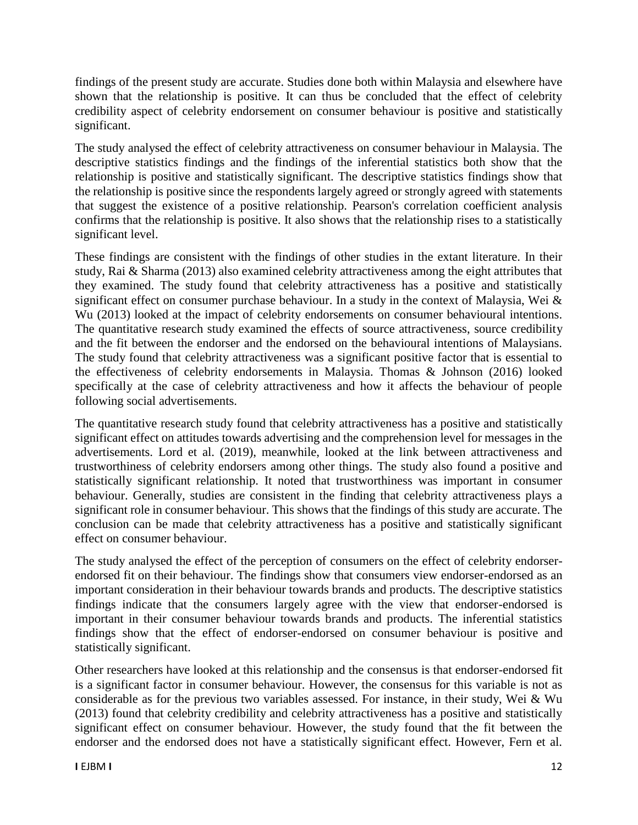findings of the present study are accurate. Studies done both within Malaysia and elsewhere have shown that the relationship is positive. It can thus be concluded that the effect of celebrity credibility aspect of celebrity endorsement on consumer behaviour is positive and statistically significant.

The study analysed the effect of celebrity attractiveness on consumer behaviour in Malaysia. The descriptive statistics findings and the findings of the inferential statistics both show that the relationship is positive and statistically significant. The descriptive statistics findings show that the relationship is positive since the respondents largely agreed or strongly agreed with statements that suggest the existence of a positive relationship. Pearson's correlation coefficient analysis confirms that the relationship is positive. It also shows that the relationship rises to a statistically significant level.

These findings are consistent with the findings of other studies in the extant literature. In their study, Rai & Sharma (2013) also examined celebrity attractiveness among the eight attributes that they examined. The study found that celebrity attractiveness has a positive and statistically significant effect on consumer purchase behaviour. In a study in the context of Malaysia, Wei & Wu (2013) looked at the impact of celebrity endorsements on consumer behavioural intentions. The quantitative research study examined the effects of source attractiveness, source credibility and the fit between the endorser and the endorsed on the behavioural intentions of Malaysians. The study found that celebrity attractiveness was a significant positive factor that is essential to the effectiveness of celebrity endorsements in Malaysia. Thomas & Johnson (2016) looked specifically at the case of celebrity attractiveness and how it affects the behaviour of people following social advertisements.

The quantitative research study found that celebrity attractiveness has a positive and statistically significant effect on attitudes towards advertising and the comprehension level for messages in the advertisements. Lord et al. (2019), meanwhile, looked at the link between attractiveness and trustworthiness of celebrity endorsers among other things. The study also found a positive and statistically significant relationship. It noted that trustworthiness was important in consumer behaviour. Generally, studies are consistent in the finding that celebrity attractiveness plays a significant role in consumer behaviour. This shows that the findings of this study are accurate. The conclusion can be made that celebrity attractiveness has a positive and statistically significant effect on consumer behaviour.

The study analysed the effect of the perception of consumers on the effect of celebrity endorserendorsed fit on their behaviour. The findings show that consumers view endorser-endorsed as an important consideration in their behaviour towards brands and products. The descriptive statistics findings indicate that the consumers largely agree with the view that endorser-endorsed is important in their consumer behaviour towards brands and products. The inferential statistics findings show that the effect of endorser-endorsed on consumer behaviour is positive and statistically significant.

Other researchers have looked at this relationship and the consensus is that endorser-endorsed fit is a significant factor in consumer behaviour. However, the consensus for this variable is not as considerable as for the previous two variables assessed. For instance, in their study, Wei & Wu (2013) found that celebrity credibility and celebrity attractiveness has a positive and statistically significant effect on consumer behaviour. However, the study found that the fit between the endorser and the endorsed does not have a statistically significant effect. However, Fern et al.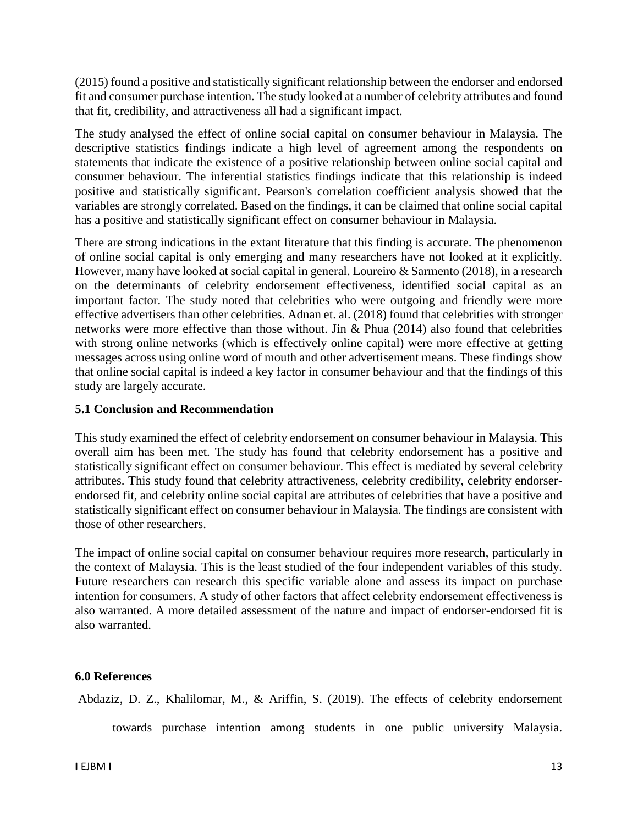(2015) found a positive and statistically significant relationship between the endorser and endorsed fit and consumer purchase intention. The study looked at a number of celebrity attributes and found that fit, credibility, and attractiveness all had a significant impact.

The study analysed the effect of online social capital on consumer behaviour in Malaysia. The descriptive statistics findings indicate a high level of agreement among the respondents on statements that indicate the existence of a positive relationship between online social capital and consumer behaviour. The inferential statistics findings indicate that this relationship is indeed positive and statistically significant. Pearson's correlation coefficient analysis showed that the variables are strongly correlated. Based on the findings, it can be claimed that online social capital has a positive and statistically significant effect on consumer behaviour in Malaysia.

There are strong indications in the extant literature that this finding is accurate. The phenomenon of online social capital is only emerging and many researchers have not looked at it explicitly. However, many have looked at social capital in general. Loureiro & Sarmento (2018), in a research on the determinants of celebrity endorsement effectiveness, identified social capital as an important factor. The study noted that celebrities who were outgoing and friendly were more effective advertisers than other celebrities. Adnan et. al. (2018) found that celebrities with stronger networks were more effective than those without. Jin & Phua (2014) also found that celebrities with strong online networks (which is effectively online capital) were more effective at getting messages across using online word of mouth and other advertisement means. These findings show that online social capital is indeed a key factor in consumer behaviour and that the findings of this study are largely accurate.

### **5.1 Conclusion and Recommendation**

This study examined the effect of celebrity endorsement on consumer behaviour in Malaysia. This overall aim has been met. The study has found that celebrity endorsement has a positive and statistically significant effect on consumer behaviour. This effect is mediated by several celebrity attributes. This study found that celebrity attractiveness, celebrity credibility, celebrity endorserendorsed fit, and celebrity online social capital are attributes of celebrities that have a positive and statistically significant effect on consumer behaviour in Malaysia. The findings are consistent with those of other researchers.

The impact of online social capital on consumer behaviour requires more research, particularly in the context of Malaysia. This is the least studied of the four independent variables of this study. Future researchers can research this specific variable alone and assess its impact on purchase intention for consumers. A study of other factors that affect celebrity endorsement effectiveness is also warranted. A more detailed assessment of the nature and impact of endorser-endorsed fit is also warranted.

### **6.0 References**

Abdaziz, D. Z., Khalilomar, M., & Ariffin, S. (2019). The effects of celebrity endorsement

towards purchase intention among students in one public university Malaysia.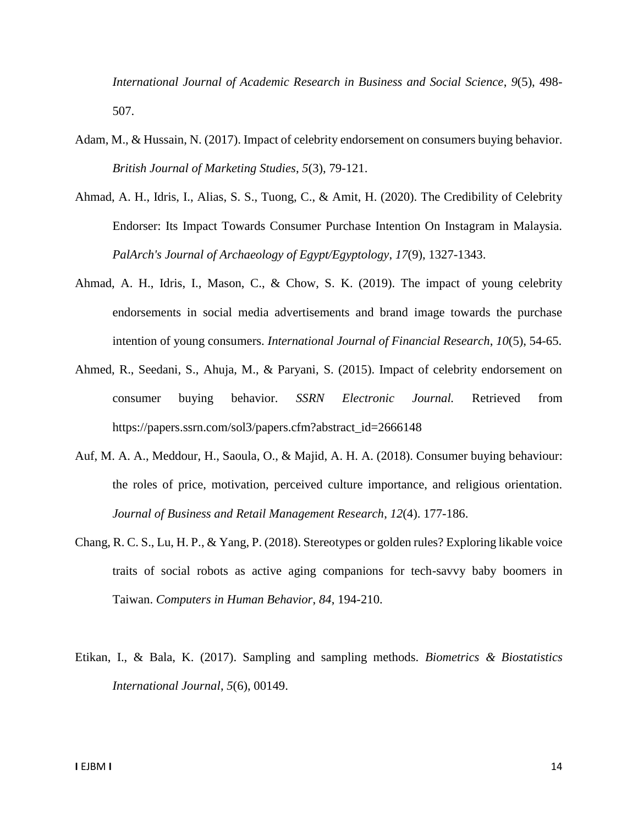*International Journal of Academic Research in Business and Social Science*, *9*(5), 498- 507.

- Adam, M., & Hussain, N. (2017). Impact of celebrity endorsement on consumers buying behavior. *British Journal of Marketing Studies*, *5*(3), 79-121.
- Ahmad, A. H., Idris, I., Alias, S. S., Tuong, C., & Amit, H. (2020). The Credibility of Celebrity Endorser: Its Impact Towards Consumer Purchase Intention On Instagram in Malaysia. *PalArch's Journal of Archaeology of Egypt/Egyptology*, *17*(9), 1327-1343.
- Ahmad, A. H., Idris, I., Mason, C., & Chow, S. K. (2019). The impact of young celebrity endorsements in social media advertisements and brand image towards the purchase intention of young consumers. *International Journal of Financial Research*, *10*(5), 54-65.
- Ahmed, R., Seedani, S., Ahuja, M., & Paryani, S. (2015). Impact of celebrity endorsement on consumer buying behavior. *SSRN Electronic Journal.* Retrieved from https://papers.ssrn.com/sol3/papers.cfm?abstract\_id=2666148
- Auf, M. A. A., Meddour, H., Saoula, O., & Majid, A. H. A. (2018). Consumer buying behaviour: the roles of price, motivation, perceived culture importance, and religious orientation. *Journal of Business and Retail Management Research*, *12*(4). 177-186.
- Chang, R. C. S., Lu, H. P., & Yang, P. (2018). Stereotypes or golden rules? Exploring likable voice traits of social robots as active aging companions for tech-savvy baby boomers in Taiwan. *Computers in Human Behavior*, *84*, 194-210.
- Etikan, I., & Bala, K. (2017). Sampling and sampling methods. *Biometrics & Biostatistics International Journal*, *5*(6), 00149.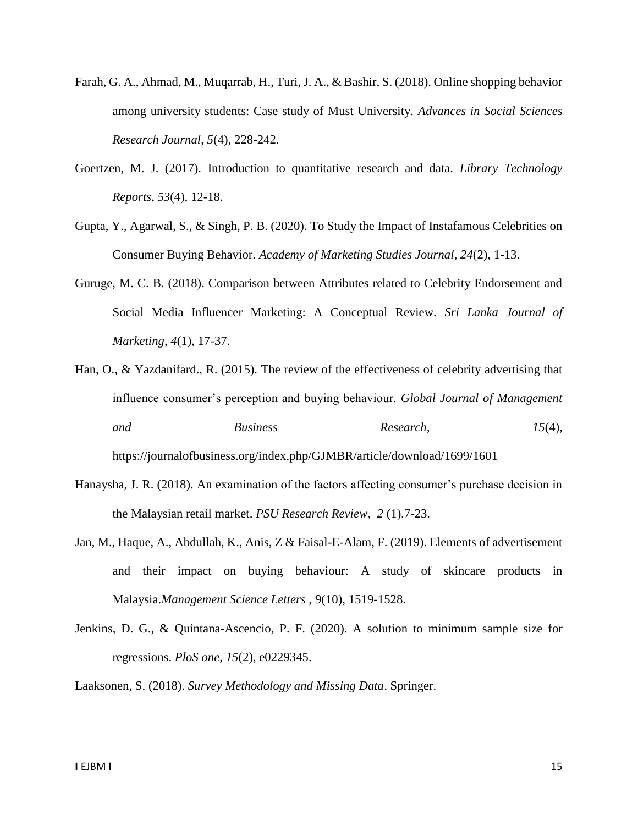- Farah, G. A., Ahmad, M., Muqarrab, H., Turi, J. A., & Bashir, S. (2018). Online shopping behavior among university students: Case study of Must University. *Advances in Social Sciences Research Journal*, *5*(4), 228-242.
- Goertzen, M. J. (2017). Introduction to quantitative research and data. *Library Technology Reports*, *53*(4), 12-18.
- Gupta, Y., Agarwal, S., & Singh, P. B. (2020). To Study the Impact of Instafamous Celebrities on Consumer Buying Behavior. *Academy of Marketing Studies Journal*, *24*(2), 1-13.
- Guruge, M. C. B. (2018). Comparison between Attributes related to Celebrity Endorsement and Social Media Influencer Marketing: A Conceptual Review. *Sri Lanka Journal of Marketing*, *4*(1), 17-37.
- Han, O., & Yazdanifard., R. (2015). The review of the effectiveness of celebrity advertising that influence consumer's perception and buying behaviour. *Global Journal of Management and Business Research, 15*(4), https://journalofbusiness.org/index.php/GJMBR/article/download/1699/1601
- Hanaysha, J. R. (2018). An examination of the factors affecting consumer's purchase decision in the Malaysian retail market. *PSU Research Review*, *2* (1).7-23.
- Jan, M., Haque, A., Abdullah, K., Anis, Z & Faisal-E-Alam, F. (2019). Elements of advertisement and their impact on buying behaviour: A study of skincare products in Malaysia.*Management Science Letters* , 9(10), 1519-1528.
- Jenkins, D. G., & Quintana-Ascencio, P. F. (2020). A solution to minimum sample size for regressions. *PloS one*, *15*(2), e0229345.

Laaksonen, S. (2018). *Survey Methodology and Missing Data*. Springer.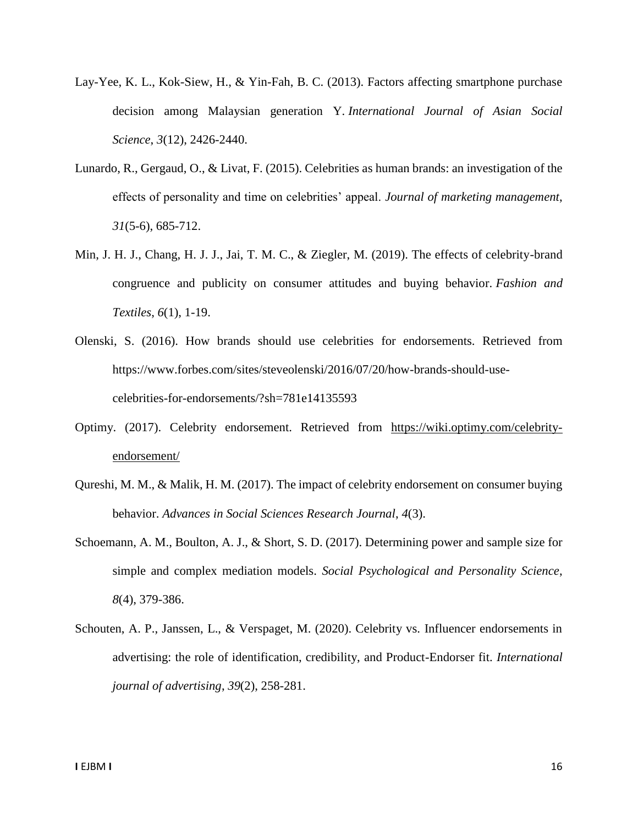- Lay-Yee, K. L., Kok-Siew, H., & Yin-Fah, B. C. (2013). Factors affecting smartphone purchase decision among Malaysian generation Y. *International Journal of Asian Social Science*, *3*(12), 2426-2440.
- Lunardo, R., Gergaud, O., & Livat, F. (2015). Celebrities as human brands: an investigation of the effects of personality and time on celebrities' appeal. *Journal of marketing management*, *31*(5-6), 685-712.
- Min, J. H. J., Chang, H. J. J., Jai, T. M. C., & Ziegler, M. (2019). The effects of celebrity-brand congruence and publicity on consumer attitudes and buying behavior. *Fashion and Textiles*, *6*(1), 1-19.
- Olenski, S. (2016). How brands should use celebrities for endorsements. Retrieved from https://www.forbes.com/sites/steveolenski/2016/07/20/how-brands-should-usecelebrities-for-endorsements/?sh=781e14135593
- Optimy. (2017). Celebrity endorsement. Retrieved from [https://wiki.optimy.com/celebrity](https://wiki.optimy.com/celebrity-endorsement/)[endorsement/](https://wiki.optimy.com/celebrity-endorsement/)
- Qureshi, M. M., & Malik, H. M. (2017). The impact of celebrity endorsement on consumer buying behavior. *Advances in Social Sciences Research Journal*, *4*(3).
- Schoemann, A. M., Boulton, A. J., & Short, S. D. (2017). Determining power and sample size for simple and complex mediation models. *Social Psychological and Personality Science*, *8*(4), 379-386.
- Schouten, A. P., Janssen, L., & Verspaget, M. (2020). Celebrity vs. Influencer endorsements in advertising: the role of identification, credibility, and Product-Endorser fit. *International journal of advertising*, *39*(2), 258-281.